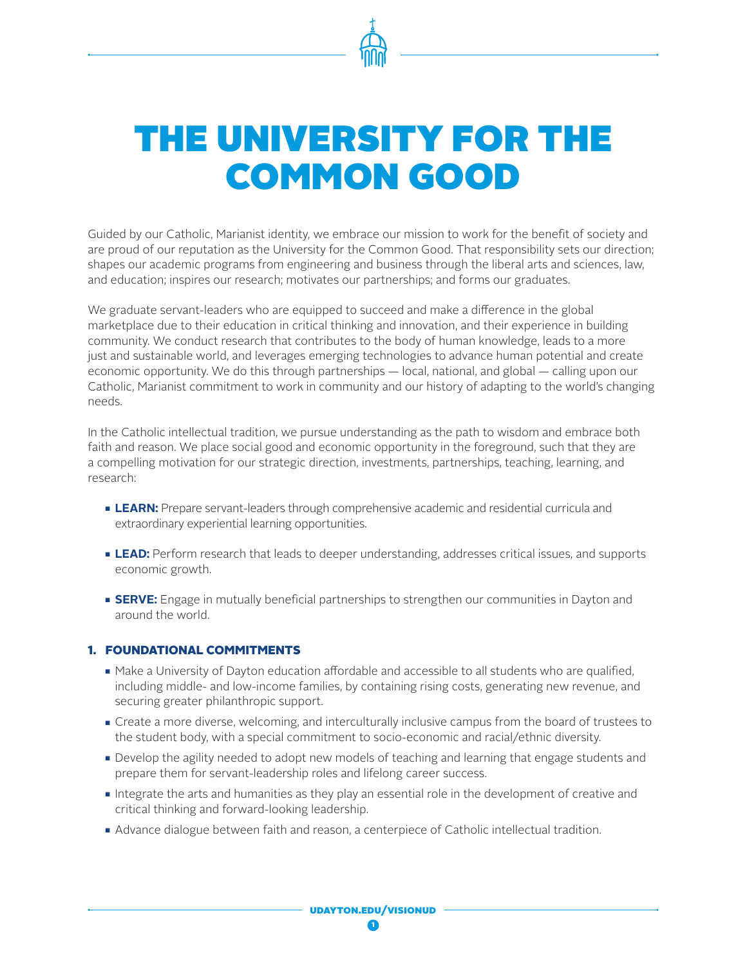

# THE UNIVERSITY FOR THE COMMON GOOD

Guided by our Catholic, Marianist identity, we embrace our mission to work for the benefit of society and are proud of our reputation as the University for the Common Good. That responsibility sets our direction; shapes our academic programs from engineering and business through the liberal arts and sciences, law, and education; inspires our research; motivates our partnerships; and forms our graduates.

We graduate servant-leaders who are equipped to succeed and make a difference in the global marketplace due to their education in critical thinking and innovation, and their experience in building community. We conduct research that contributes to the body of human knowledge, leads to a more just and sustainable world, and leverages emerging technologies to advance human potential and create economic opportunity. We do this through partnerships — local, national, and global — calling upon our Catholic, Marianist commitment to work in community and our history of adapting to the world's changing needs.

In the Catholic intellectual tradition, we pursue understanding as the path to wisdom and embrace both faith and reason. We place social good and economic opportunity in the foreground, such that they are a compelling motivation for our strategic direction, investments, partnerships, teaching, learning, and research:

- **LEARN:** Prepare servant-leaders through comprehensive academic and residential curricula and extraordinary experiential learning opportunities.
- **LEAD:** Perform research that leads to deeper understanding, addresses critical issues, and supports economic growth.
- **SERVE:** Engage in mutually beneficial partnerships to strengthen our communities in Dayton and around the world.

# 1. FOUNDATIONAL COMMITMENTS

- n Make a University of Dayton education affordable and accessible to all students who are qualified, including middle- and low-income families, by containing rising costs, generating new revenue, and securing greater philanthropic support.
- **Create a more diverse, welcoming, and interculturally inclusive campus from the board of trustees to** the student body, with a special commitment to socio-economic and racial/ethnic diversity.
- Develop the agility needed to adopt new models of teaching and learning that engage students and prepare them for servant-leadership roles and lifelong career success.
- Integrate the arts and humanities as they play an essential role in the development of creative and critical thinking and forward-looking leadership.
- Advance dialogue between faith and reason, a centerpiece of Catholic intellectual tradition.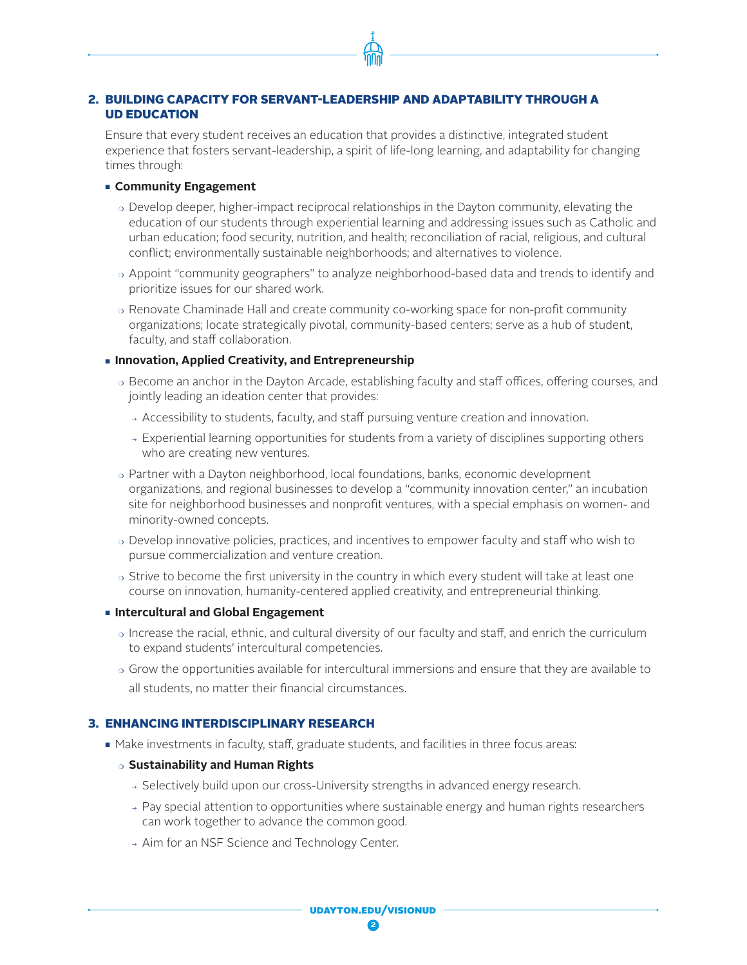## 2. BUILDING CAPACITY FOR SERVANT-LEADERSHIP AND ADAPTABILITY THROUGH A UD EDUCATION

Ensure that every student receives an education that provides a distinctive, integrated student experience that fosters servant-leadership, a spirit of life-long learning, and adaptability for changing times through:

#### **Example 1 Community Engagement**

- $\circ$  Develop deeper, higher-impact reciprocal relationships in the Dayton community, elevating the education of our students through experiential learning and addressing issues such as Catholic and urban education; food security, nutrition, and health; reconciliation of racial, religious, and cultural conflict; environmentally sustainable neighborhoods; and alternatives to violence.
- o Appoint "community geographers" to analyze neighborhood-based data and trends to identify and prioritize issues for our shared work.
- $\circ$  Renovate Chaminade Hall and create community co-working space for non-profit community organizations; locate strategically pivotal, community-based centers; serve as a hub of student, faculty, and staff collaboration.

#### **nimovation, Applied Creativity, and Entrepreneurship**

- $\circ$  Become an anchor in the Dayton Arcade, establishing faculty and staff offices, offering courses, and jointly leading an ideation center that provides:
	- $\rightarrow$  Accessibility to students, faculty, and staff pursuing venture creation and innovation.
	- $\rightarrow$  Experiential learning opportunities for students from a variety of disciplines supporting others who are creating new ventures.
- $\circ$  Partner with a Dayton neighborhood, local foundations, banks, economic development organizations, and regional businesses to develop a "community innovation center," an incubation site for neighborhood businesses and nonprofit ventures, with a special emphasis on women- and minority-owned concepts.
- $\circ$  Develop innovative policies, practices, and incentives to empower faculty and staff who wish to pursue commercialization and venture creation.
- $\circ$  Strive to become the first university in the country in which every student will take at least one course on innovation, humanity-centered applied creativity, and entrepreneurial thinking.
- **Example 2 Intercultural and Global Engagement** 
	- $\circ$  Increase the racial, ethnic, and cultural diversity of our faculty and staff, and enrich the curriculum to expand students' intercultural competencies.
	- $\circ$  Grow the opportunities available for intercultural immersions and ensure that they are available to all students, no matter their financial circumstances.

# 3. ENHANCING INTERDISCIPLINARY RESEARCH

- $\blacksquare$  Make investments in faculty, staff, graduate students, and facilities in three focus areas:
	- <sup>m</sup>**Sustainability and Human Rights** 
		- $\rightarrow$  Selectively build upon our cross-University strengths in advanced energy research.
		- $\rightarrow$  Pay special attention to opportunities where sustainable energy and human rights researchers can work together to advance the common good.
		- → Aim for an NSF Science and Technology Center.

udayton.edu/visionud